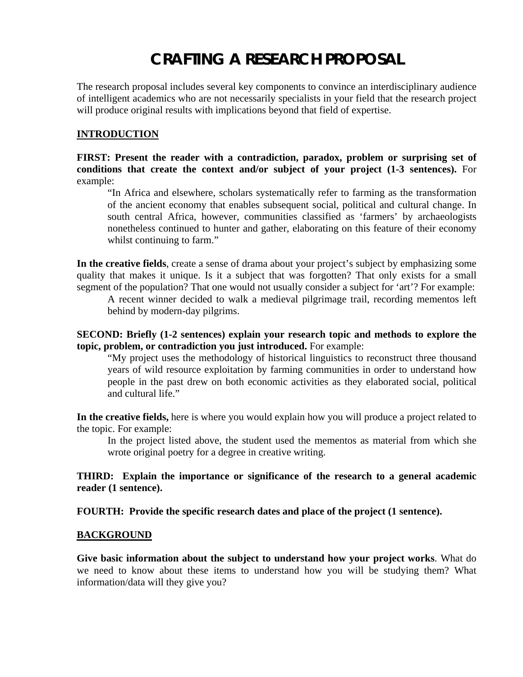# **CRAFTING A RESEARCH PROPOSAL**

The research proposal includes several key components to convince an interdisciplinary audience of intelligent academics who are not necessarily specialists in your field that the research project will produce original results with implications beyond that field of expertise.

#### **INTRODUCTION**

**FIRST: Present the reader with a contradiction, paradox, problem or surprising set of conditions that create the context and/or subject of your project (1-3 sentences).** For example:

"In Africa and elsewhere, scholars systematically refer to farming as the transformation of the ancient economy that enables subsequent social, political and cultural change. In south central Africa, however, communities classified as 'farmers' by archaeologists nonetheless continued to hunter and gather, elaborating on this feature of their economy whilst continuing to farm."

**In the creative fields**, create a sense of drama about your project's subject by emphasizing some quality that makes it unique. Is it a subject that was forgotten? That only exists for a small segment of the population? That one would not usually consider a subject for 'art'? For example:

A recent winner decided to walk a medieval pilgrimage trail, recording mementos left behind by modern-day pilgrims.

#### **SECOND: Briefly (1-2 sentences) explain your research topic and methods to explore the topic, problem, or contradiction you just introduced.** For example:

"My project uses the methodology of historical linguistics to reconstruct three thousand years of wild resource exploitation by farming communities in order to understand how people in the past drew on both economic activities as they elaborated social, political and cultural life."

**In the creative fields,** here is where you would explain how you will produce a project related to the topic. For example:

In the project listed above, the student used the mementos as material from which she wrote original poetry for a degree in creative writing.

#### **THIRD: Explain the importance or significance of the research to a general academic reader (1 sentence).**

**FOURTH: Provide the specific research dates and place of the project (1 sentence).** 

#### **BACKGROUND**

**Give basic information about the subject to understand how your project works**. What do we need to know about these items to understand how you will be studying them? What information/data will they give you?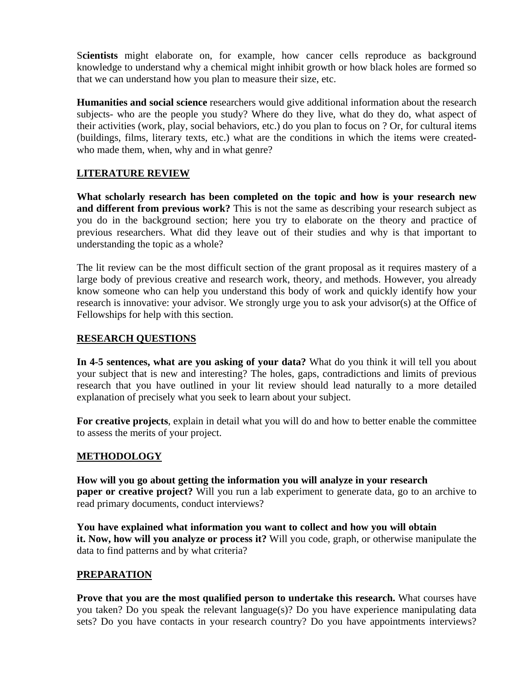S**cientists** might elaborate on, for example, how cancer cells reproduce as background knowledge to understand why a chemical might inhibit growth or how black holes are formed so that we can understand how you plan to measure their size, etc.

**Humanities and social science** researchers would give additional information about the research subjects- who are the people you study? Where do they live, what do they do, what aspect of their activities (work, play, social behaviors, etc.) do you plan to focus on ? Or, for cultural items (buildings, films, literary texts, etc.) what are the conditions in which the items were createdwho made them, when, why and in what genre?

## **LITERATURE REVIEW**

**What scholarly research has been completed on the topic and how is your research new and different from previous work?** This is not the same as describing your research subject as you do in the background section; here you try to elaborate on the theory and practice of previous researchers. What did they leave out of their studies and why is that important to understanding the topic as a whole?

The lit review can be the most difficult section of the grant proposal as it requires mastery of a large body of previous creative and research work, theory, and methods. However, you already know someone who can help you understand this body of work and quickly identify how your research is innovative: your advisor. We strongly urge you to ask your advisor(s) at the Office of Fellowships for help with this section.

#### **RESEARCH QUESTIONS**

**In 4-5 sentences, what are you asking of your data?** What do you think it will tell you about your subject that is new and interesting? The holes, gaps, contradictions and limits of previous research that you have outlined in your lit review should lead naturally to a more detailed explanation of precisely what you seek to learn about your subject.

**For creative projects**, explain in detail what you will do and how to better enable the committee to assess the merits of your project.

## **METHODOLOGY**

**How will you go about getting the information you will analyze in your research paper or creative project?** Will you run a lab experiment to generate data, go to an archive to read primary documents, conduct interviews?

**You have explained what information you want to collect and how you will obtain it. Now, how will you analyze or process it?** Will you code, graph, or otherwise manipulate the data to find patterns and by what criteria?

## **PREPARATION**

**Prove that you are the most qualified person to undertake this research.** What courses have you taken? Do you speak the relevant language(s)? Do you have experience manipulating data sets? Do you have contacts in your research country? Do you have appointments interviews?